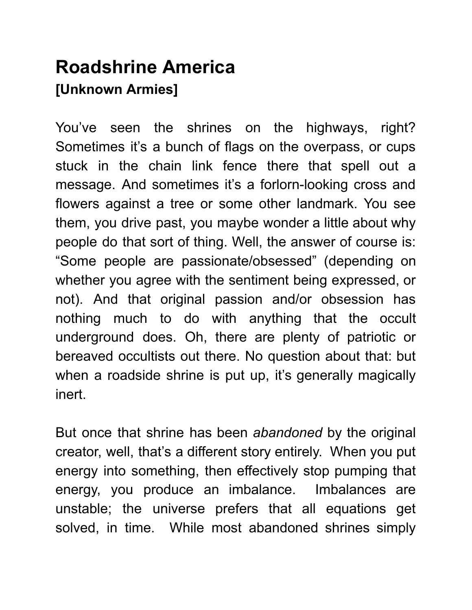## Roadshrine America [Unknown Armies]

You've seen the shrines on the highways, right? Sometimes it's a bunch of flags on the overpass, or cups stuck in the chain link fence there that spell out a message. And sometimes it's a forlorn-looking cross and flowers against a tree or some other landmark. You see them, you drive past, you maybe wonder a little about why people do that sort of thing. Well, the answer of course is: "Some people are passionate/obsessed" (depending on whether you agree with the sentiment being expressed, or not). And that original passion and/or obsession has nothing much to do with anything that the occult underground does. Oh, there are plenty of patriotic or bereaved occultists out there. No question about that: but when a roadside shrine is put up, it's generally magically inert.

But once that shrine has been abandoned by the original creator, well, that's a different story entirely. When you put energy into something, then effectively stop pumping that energy, you produce an imbalance. Imbalances are unstable; the universe prefers that all equations get solved, in time. While most abandoned shrines simply